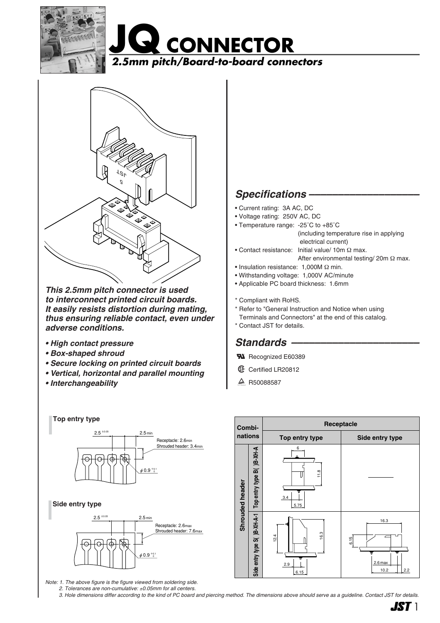





*This 2.5mm pitch connector is used to interconnect printed circuit boards. It easily resists distortion during mating, thus ensuring reliable contact, even under adverse conditions.*

- *High contact pressure*
- *Box-shaped shroud*
- *Secure locking on printed circuit boards*
- *Vertical, horizontal and parallel mounting*
- *Interchangeability*





*Note: 1. The above figure is the figure viewed from soldering side.*

*2. Tolerances are non-cumulative:* ±*0.05mm for all centers.*

**W** Recognized E60389

 $\triangle$  R50088587



*3. Hole dimensions differ according to the kind of PC board and piercing method. The dimensions above should serve as a guideline. Contact JST for details.*



# Specifications -

- Current rating: 3A AC, DC
- Voltage rating: 250V AC, DC
- Temperature range: -25˚C to +85˚C
	- (including temperature rise in applying electrical current)
- Contact resistance: Initial value/ 10m Ω max. After environmental testing/ 20m Ω max.
- Insulation resistance: 1,000M Ω min.
- Withstanding voltage: 1,000V AC/minute
- Applicable PC board thickness: 1.6mm
- \* Compliant with RoHS.
- \* Refer to "General Instruction and Notice when using
- Terminals and Connectors" at the end of this catalog. \* Contact JST for details.
- *Standards ––––––––––––––––––––––*
- **6** Certified LR20812